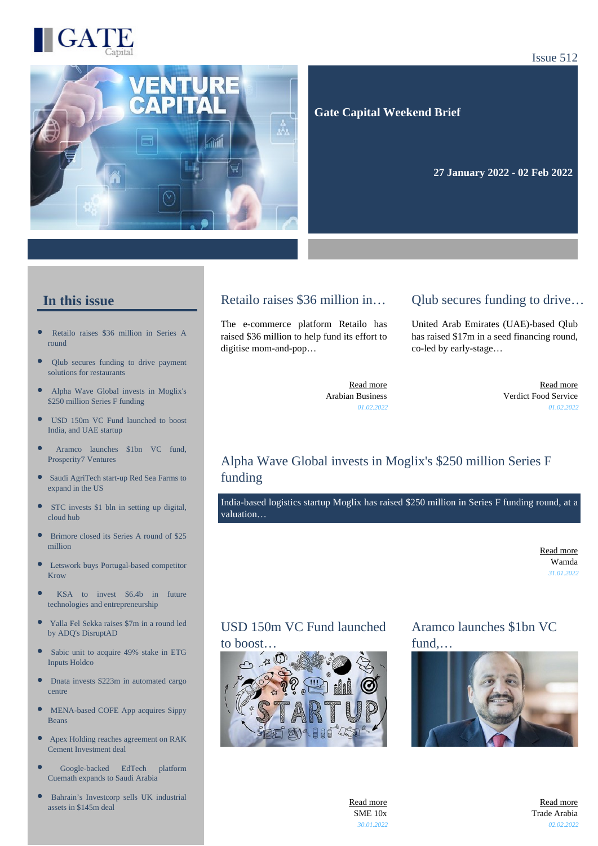



Issue 512

 **Gate Capital Weekend Brief**

**27 January 2022 - 02 Feb 2022** 

#### **In this issue**

- [Retailo raises \\$36 million in Series A](https://gatecapital.net/back_office/newsletters/tracking/5639/654) [round](https://gatecapital.net/back_office/newsletters/tracking/5639/654)
- [Qlub secures funding to drive payment](https://gatecapital.net/back_office/newsletters/tracking/5650/654) [solutions for restaurants](https://gatecapital.net/back_office/newsletters/tracking/5650/654)
- $\bullet$ [Alpha Wave Global invests in Moglix's](https://gatecapital.net/back_office/newsletters/tracking/5649/654) [\\$250 million Series F funding](https://gatecapital.net/back_office/newsletters/tracking/5649/654)
- $\bullet$ [USD 150m VC Fund launched to boost](https://gatecapital.net/back_office/newsletters/tracking/5645/654) [India, and UAE startup](https://gatecapital.net/back_office/newsletters/tracking/5645/654)
- [Aramco launches \\$1bn VC fund,](https://gatecapital.net/back_office/newsletters/tracking/5648/654) [Prosperity7 Ventures](https://gatecapital.net/back_office/newsletters/tracking/5648/654)
- [Saudi AgriTech start-up Red Sea Farms to](https://gatecapital.net/back_office/newsletters/tracking/5634/654) [expand in the US](https://gatecapital.net/back_office/newsletters/tracking/5634/654)
- × [STC invests \\$1 bln in setting up digital,](https://gatecapital.net/back_office/newsletters/tracking/5643/654) [cloud hub](https://gatecapital.net/back_office/newsletters/tracking/5643/654)
- $\bullet$ [Brimore closed its Series A round of \\$25](https://gatecapital.net/back_office/newsletters/tracking/5635/654) [million](https://gatecapital.net/back_office/newsletters/tracking/5635/654)
- $\bullet$ [Letswork buys Portugal-based competitor](https://gatecapital.net/back_office/newsletters/tracking/5642/654) [Krow](https://gatecapital.net/back_office/newsletters/tracking/5642/654)
- $\bullet$ [KSA to invest \\$6.4b in future](https://gatecapital.net/back_office/newsletters/tracking/5644/654) [technologies and entrepreneurship](https://gatecapital.net/back_office/newsletters/tracking/5644/654)
- $\bullet$ [Yalla Fel Sekka raises \\$7m in a round led](https://gatecapital.net/back_office/newsletters/tracking/5641/654) [by ADQ's DisruptAD](https://gatecapital.net/back_office/newsletters/tracking/5641/654)
- $\bullet$ [Sabic unit to acquire 49% stake in ETG](https://gatecapital.net/back_office/newsletters/tracking/5637/654) [Inputs Holdco](https://gatecapital.net/back_office/newsletters/tracking/5637/654)
- $\bullet$ [Dnata invests \\$223m in automated cargo](https://gatecapital.net/back_office/newsletters/tracking/5636/654) [centre](https://gatecapital.net/back_office/newsletters/tracking/5636/654)
- $\bullet$ [MENA-based COFE App acquires Sippy](https://gatecapital.net/back_office/newsletters/tracking/5631/654) [Beans](https://gatecapital.net/back_office/newsletters/tracking/5631/654)
- $\bullet$ [Apex Holding reaches agreement on RAK](https://gatecapital.net/back_office/newsletters/tracking/5632/654) [Cement Investment deal](https://gatecapital.net/back_office/newsletters/tracking/5632/654)
- [Google-backed EdTech platform](https://gatecapital.net/back_office/newsletters/tracking/5640/654) [Cuemath expands to Saudi Arabia](https://gatecapital.net/back_office/newsletters/tracking/5640/654)
- $\bullet$ [Bahrain's Investcorp sells UK industrial](https://gatecapital.net/back_office/newsletters/tracking/5633/654) [assets in \\$145m deal](https://gatecapital.net/back_office/newsletters/tracking/5633/654)

#### Retailo raises \$36 million in…

The e-commerce platform Retailo has raised \$36 million to help fund its effort to digitise mom-and-pop…

#### Qlub secures funding to drive…

United Arab Emirates (UAE)-based Qlub has raised \$17m in a seed financing round, co-led by early-stage…

[Read more](https://gatecapital.net/back_office/newsletters/tracking/5639/654) Arabian Business *01.02.2022*

[Read more](https://gatecapital.net/back_office/newsletters/tracking/5650/654) Verdict Food Service *01.02.2022*

## Alpha Wave Global invests in Moglix's \$250 million Series F funding

India-based logistics startup Moglix has raised \$250 million in Series F funding round, at a valuation…

> [Read more](https://gatecapital.net/back_office/newsletters/tracking/5649/654) Wamda *31.01.2022*

# USD 150m VC Fund launched



#### Aramco launches \$1bn VC fund,…



[Read more](https://gatecapital.net/back_office/newsletters/tracking/5648/654) Trade Arabia *02.02.2022*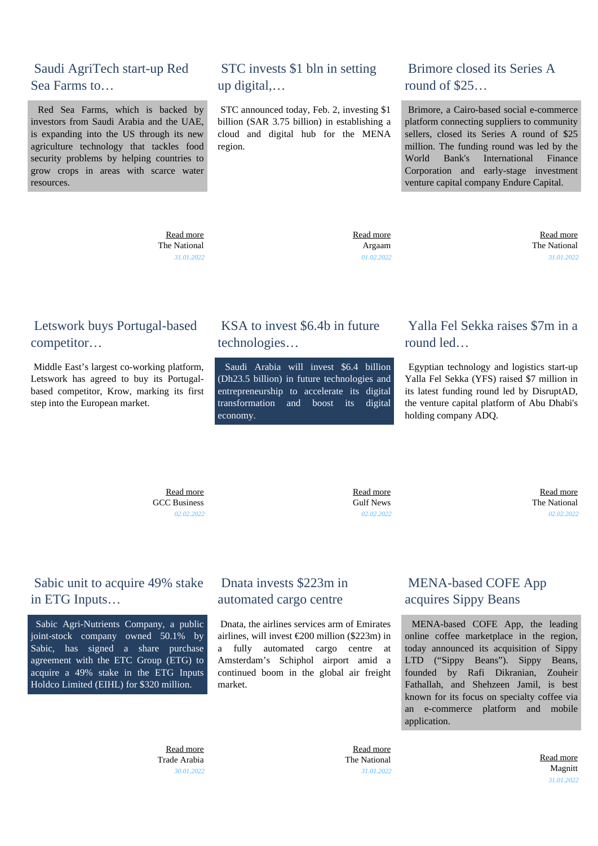#### Saudi AgriTech start-up Red Sea Farms to…

 Red Sea Farms, which is backed by investors from Saudi Arabia and the UAE, is expanding into the US through its new agriculture technology that tackles food security problems by helping countries to grow crops in areas with scarce water resources.

> [Read more](https://gatecapital.net/back_office/newsletters/tracking/5634/654) The National *31.01.2022*

## STC invests \$1 bln in setting up digital,…

 STC announced today, Feb. 2, investing \$1 billion (SAR 3.75 billion) in establishing a cloud and digital hub for the MENA region.

#### Brimore closed its Series A round of \$25…

 Brimore, a Cairo-based social e-commerce platform connecting suppliers to community sellers, closed its Series A round of \$25 million. The funding round was led by the World Bank's International Finance Corporation and early-stage investment venture capital company Endure Capital.

 [Read more](https://gatecapital.net/back_office/newsletters/tracking/5643/654) Argaam *01.02.2022*

 [Read more](https://gatecapital.net/back_office/newsletters/tracking/5635/654) The National *31.01.2022*

#### Letswork buys Portugal-based competitor…

 Middle East's largest co-working platform, Letswork has agreed to buy its Portugalbased competitor, Krow, marking its first step into the European market.

#### KSA to invest \$6.4b in future technologies…

 Saudi Arabia will invest \$6.4 billion (Dh23.5 billion) in future technologies and entrepreneurship to accelerate its digital transformation and boost its digital economy.

## Yalla Fel Sekka raises \$7m in a round led…

 Egyptian technology and logistics start-up Yalla Fel Sekka (YFS) raised \$7 million in its latest funding round led by DisruptAD, the venture capital platform of Abu Dhabi's holding company ADQ.

 [Read more](https://gatecapital.net/back_office/newsletters/tracking/5642/654) GCC Business *02.02.2022*

 [Read more](https://gatecapital.net/back_office/newsletters/tracking/5644/654) Gulf News *02.02.2022*

 [Read more](https://gatecapital.net/back_office/newsletters/tracking/5641/654) The National *02.02.2022*

## Sabic unit to acquire 49% stake in ETG Inputs…

 Sabic Agri-Nutrients Company, a public joint-stock company owned 50.1% by Sabic, has signed a share purchase agreement with the ETC Group (ETG) to acquire a 49% stake in the ETG Inputs Holdco Limited (EIHL) for \$320 million.

## Dnata invests \$223m in automated cargo centre

 Dnata, the airlines services arm of Emirates airlines, will invest €200 million (\$223m) in a fully automated cargo centre at Amsterdam's Schiphol airport amid a continued boom in the global air freight market.

## MENA-based COFE App acquires Sippy Beans

 MENA-based COFE App, the leading online coffee marketplace in the region, today announced its acquisition of Sippy LTD ("Sippy Beans"). Sippy Beans, founded by Rafi Dikranian, Zouheir Fathallah, and Shehzeen Jamil, is best known for its focus on specialty coffee via an e-commerce platform and mobile application.

 [Read more](https://gatecapital.net/back_office/newsletters/tracking/5637/654) Trade Arabia *30.01.2022*

 [Read more](https://gatecapital.net/back_office/newsletters/tracking/5636/654) The National *31.01.2022*

 [Read more](https://gatecapital.net/back_office/newsletters/tracking/5631/654) Magnitt *31.01.2022*